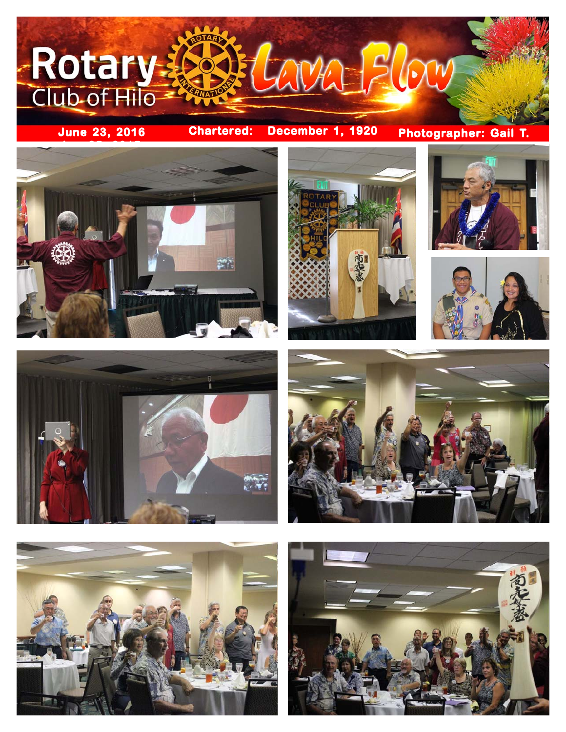

**Photographer: Gail T.**















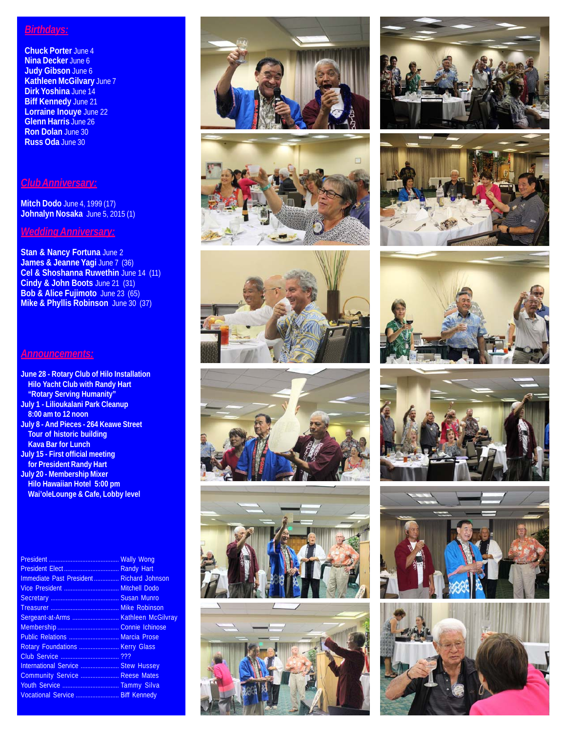## *Birthdays:*

**Chuck Porter** June 4 **Nina Decker** June 6 **Judy Gibson** June 6 **Kathleen McGilvary** June 7 **Dirk Yoshina** June 14 **Biff Kennedy** June 21 **Lorraine Inouye** June 22 **Glenn Harris** June 26 **Ron Dolan** June 30 **Russ Oda** June 30

#### *Club Anniversary:*

**Mitch Dodo** June 4, 1999 (17) **Johnalyn Nosaka** June 5, 2015 (1)

### *Wedding Anniversary:*

**Stan & Nancy Fortuna** June 2 **James & Jeanne Yagi June 7 (36) Cel & Shoshanna Ruwethin** June 14 (11) **Cindy & John Boots** June 21 (31) **Bob & Alice Fujimoto** June 23 (65) **Mike & Phyllis Robinson** June 30 (37)

#### *Announcements:*

**June 28 - Rotary Club of Hilo Installation Hilo Yacht Club with Randy Hart "Rotary Serving Humanity" July 1 - Lilioukalani Park Cleanup 8:00 am to 12 noon July 8 - And Pieces - 264 Keawe Street Tour of historic building Kava Bar for Lunch July 15 - First official meeting for President Randy Hart July 20 - Membership Mixer Hilo Hawaiian Hotel 5:00 pm Wai'oleLounge & Cafe, Lobby level**

President .......................................... Wally Wong President Elect ................................. Randy Hart Immediate Past President ............... Richard Johnson Vice President ................................. Mitchell Dodo Secretary ......................................... Susan Munro Treasurer ......................................... Mike Robinson Sergeant-at-Arms ............................ Kathleen McGilvray Membership ..................................... Connie Ichinose Public Relations .............................. Marcia Prose Rotary Foundations .......................... Kerry Glass Club Service ................................... ??? International Service ....................... Stew Hussey Community Service ....................... Reese Mates Youth Service .................................. Tammy Silva Vocational Service .......................... Biff Kennedy























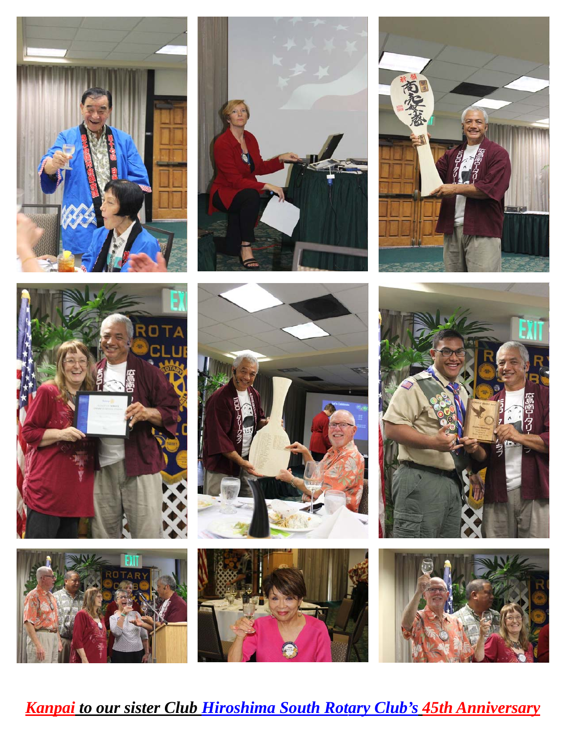

















*Kanpai to our sister Club Hiroshima South Rotary Club's 45th Anniversary*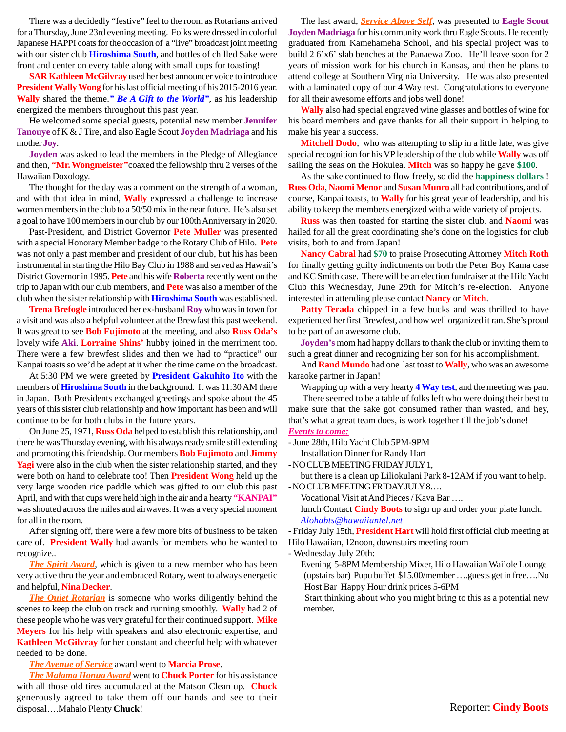There was a decidedly "festive" feel to the room as Rotarians arrived for a Thursday, June 23rd evening meeting. Folks were dressed in colorful Japanese HAPPI coats for the occasion of a "live" broadcast joint meeting with our sister club **Hiroshima South**, and bottles of chilled Sake were front and center on every table along with small cups for toasting!

**SAR Kathleen McGilvray** used her best announcer voice to introduce **President Wally Wong** for his last official meeting of his 2015-2016 year. **Wally** shared the theme.*" Be A Gift to the World"*, as his leadership energized the members throughout this past year.

He welcomed some special guests, potential new member **Jennifer Tanouye** of K & J Tire, and also Eagle Scout **Joyden Madriaga** and his mother **Joy**.

**Joyden** was asked to lead the members in the Pledge of Allegiance and then, **"Mr. Wongmeister"**coaxed the fellowship thru 2 verses of the Hawaiian Doxology.

The thought for the day was a comment on the strength of a woman, and with that idea in mind, **Wally** expressed a challenge to increase women members in the club to a 50/50 mix in the near future. He's also set a goal to have 100 members in our club by our 100th Anniversary in 2020.

Past-President, and District Governor **Pete Muller** was presented with a special Honorary Member badge to the Rotary Club of Hilo. **Pete** was not only a past member and president of our club, but his has been instrumental in starting the Hilo Bay Club in 1988 and served as Hawaii's District Governor in 1995. **Pete** and his wife **Roberta** recently went on the trip to Japan with our club members, and **Pete** was also a member of the club when the sister relationship with **Hiroshima South** was established.

**Trena Brefogle** introduced her ex-husband **Roy** who was in town for a visit and was also a helpful volunteer at the Brewfast this past weekend. It was great to see **Bob Fujimoto** at the meeting, and also **Russ Oda's** lovely wife **Aki**. **Lorraine Shins'** hubby joined in the merriment too. There were a few brewfest slides and then we had to "practice" our Kanpai toasts so we'd be adept at it when the time came on the broadcast.

At 5:30 PM we were greeted by **President Gakuhito Ito** with the members of **Hiroshima South** in the background. It was 11:30 AM there in Japan. Both Presidents exchanged greetings and spoke about the 45 years of this sister club relationship and how important has been and will continue to be for both clubs in the future years.

On June 25, 1971, **Russ Oda** helped to establish this relationship, and there he was Thursday evening, with his always ready smile still extending and promoting this friendship. Our members **Bob Fujimoto** and **Jimmy Yagi** were also in the club when the sister relationship started, and they were both on hand to celebrate too! Then **President Wong** held up the very large wooden rice paddle which was gifted to our club this past April, and with that cups were held high in the air and a hearty **"KANPAI"** was shouted across the miles and airwaves. It was a very special moment for all in the room.

After signing off, there were a few more bits of business to be taken care of. **President Wally** had awards for members who he wanted to recognize..

*The Spirit Award*, which is given to a new member who has been very active thru the year and embraced Rotary, went to always energetic and helpful, **Nina Decker**.

*The Quiet Rotarian* is someone who works diligently behind the scenes to keep the club on track and running smoothly. **Wally** had 2 of these people who he was very grateful for their continued support. **Mike Meyers** for his help with speakers and also electronic expertise, and **Kathleen McGilvray** for her constant and cheerful help with whatever needed to be done.

*The Avenue of Service* award went to **Marcia Prose**.

*The Malama Honua Award* went to **Chuck Porter** for his assistance with all those old tires accumulated at the Matson Clean up. **Chuck** generously agreed to take them off our hands and see to their disposal….Mahalo Plenty **Chuck**!

The last award, *Service Above Self*, was presented to **Eagle Scout Joyden Madriaga** for his community work thru Eagle Scouts. He recently graduated from Kamehameha School, and his special project was to build 2 6'x6' slab benches at the Panaewa Zoo. He'll leave soon for 2 years of mission work for his church in Kansas, and then he plans to attend college at Southern Virginia University. He was also presented with a laminated copy of our 4 Way test. Congratulations to everyone for all their awesome efforts and jobs well done!

**Wally** also had special engraved wine glasses and bottles of wine for his board members and gave thanks for all their support in helping to make his year a success.

**Mitchell Dodo**, who was attempting to slip in a little late, was give special recognition for his VP leadership of the club while **Wally** was off sailing the seas on the Hokulea. **Mitch** was so happy he gave **\$100**.

As the sake continued to flow freely, so did the **happiness dollars** ! **Russ Oda**, **Naomi Menor** and **Susan Munro** all had contributions, and of course, Kanpai toasts, to **Wally** for his great year of leadership, and his ability to keep the members energized with a wide variety of projects.

**Russ** was then toasted for starting the sister club, and **Naomi** was hailed for all the great coordinating she's done on the logistics for club visits, both to and from Japan!

**Nancy Cabral** had **\$70** to praise Prosecuting Attorney **Mitch Roth** for finally getting guilty indictments on both the Peter Boy Kama case and KC Smith case. There will be an election fundraiser at the Hilo Yacht Club this Wednesday, June 29th for Mitch's re-election. Anyone interested in attending please contact **Nancy** or **Mitch**.

Patty Terada chipped in a few bucks and was thrilled to have experienced her first Brewfest, and how well organized it ran. She's proud to be part of an awesome club.

**Joyden's** mom had happy dollars to thank the club or inviting them to such a great dinner and recognizing her son for his accomplishment.

And **Rand Mundo** had one last toast to **Wally**, who was an awesome karaoke partner in Japan!

Wrapping up with a very hearty **4 Way test**, and the meeting was pau.

 There seemed to be a table of folks left who were doing their best to make sure that the sake got consumed rather than wasted, and hey, that's what a great team does, is work together till the job's done!

#### *Events to come:*

- June 28th, Hilo Yacht Club 5PM-9PM

Installation Dinner for Randy Hart

- NO CLUB MEETING FRIDAY JULY 1,

but there is a clean up Liliokulani Park 8-12AM if you want to help. - NO CLUB MEETING FRIDAY JULY 8….

Vocational Visit at And Pieces / Kava Bar ….

lunch Contact **Cindy Boots** to sign up and order your plate lunch. *Alohabts@hawaiiantel.net*

- Friday July 15th, **President Hart** will hold first official club meeting at Hilo Hawaiian, 12noon, downstairs meeting room

- Wednesday July 20th:

Evening 5-8PM Membership Mixer, Hilo Hawaiian Wai'ole Lounge (upstairs bar) Pupu buffet \$15.00/member ….guests get in free….No Host Bar Happy Hour drink prices 5-6PM

 Start thinking about who you might bring to this as a potential new member.